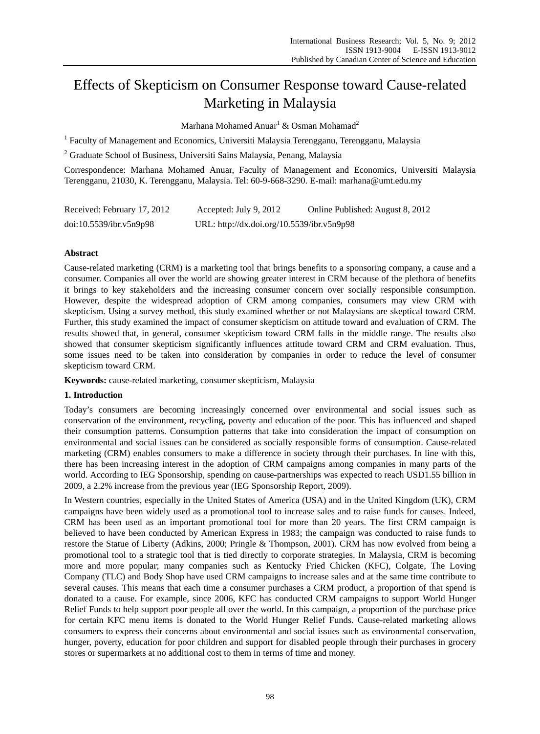# Effects of Skepticism on Consumer Response toward Cause-related Marketing in Malaysia

Marhana Mohamed Anuar $^1$  & Osman Mohamad $^2$ 

<sup>1</sup> Faculty of Management and Economics, Universiti Malaysia Terengganu, Terengganu, Malaysia

<sup>2</sup> Graduate School of Business, Universiti Sains Malaysia, Penang, Malaysia

Correspondence: Marhana Mohamed Anuar, Faculty of Management and Economics, Universiti Malaysia Terengganu, 21030, K. Terengganu, Malaysia. Tel: 60-9-668-3290. E-mail: marhana@umt.edu.my

| Received: February 17, 2012 | Accepted: July 9, 2012                     | Online Published: August 8, 2012 |
|-----------------------------|--------------------------------------------|----------------------------------|
| doi:10.5539/ibr.v5n9p98     | URL: http://dx.doi.org/10.5539/ibr.v5n9p98 |                                  |

# **Abstract**

Cause-related marketing (CRM) is a marketing tool that brings benefits to a sponsoring company, a cause and a consumer. Companies all over the world are showing greater interest in CRM because of the plethora of benefits it brings to key stakeholders and the increasing consumer concern over socially responsible consumption. However, despite the widespread adoption of CRM among companies, consumers may view CRM with skepticism. Using a survey method, this study examined whether or not Malaysians are skeptical toward CRM. Further, this study examined the impact of consumer skepticism on attitude toward and evaluation of CRM. The results showed that, in general, consumer skepticism toward CRM falls in the middle range. The results also showed that consumer skepticism significantly influences attitude toward CRM and CRM evaluation. Thus, some issues need to be taken into consideration by companies in order to reduce the level of consumer skepticism toward CRM.

**Keywords:** cause-related marketing, consumer skepticism, Malaysia

# **1. Introduction**

Today's consumers are becoming increasingly concerned over environmental and social issues such as conservation of the environment, recycling, poverty and education of the poor. This has influenced and shaped their consumption patterns. Consumption patterns that take into consideration the impact of consumption on environmental and social issues can be considered as socially responsible forms of consumption. Cause-related marketing (CRM) enables consumers to make a difference in society through their purchases. In line with this, there has been increasing interest in the adoption of CRM campaigns among companies in many parts of the world. According to IEG Sponsorship, spending on cause-partnerships was expected to reach USD1.55 billion in 2009, a 2.2% increase from the previous year (IEG Sponsorship Report, 2009).

In Western countries, especially in the United States of America (USA) and in the United Kingdom (UK), CRM campaigns have been widely used as a promotional tool to increase sales and to raise funds for causes. Indeed, CRM has been used as an important promotional tool for more than 20 years. The first CRM campaign is believed to have been conducted by American Express in 1983; the campaign was conducted to raise funds to restore the Statue of Liberty (Adkins, 2000; Pringle & Thompson, 2001). CRM has now evolved from being a promotional tool to a strategic tool that is tied directly to corporate strategies. In Malaysia, CRM is becoming more and more popular; many companies such as Kentucky Fried Chicken (KFC), Colgate, The Loving Company (TLC) and Body Shop have used CRM campaigns to increase sales and at the same time contribute to several causes. This means that each time a consumer purchases a CRM product, a proportion of that spend is donated to a cause. For example, since 2006, KFC has conducted CRM campaigns to support World Hunger Relief Funds to help support poor people all over the world. In this campaign, a proportion of the purchase price for certain KFC menu items is donated to the World Hunger Relief Funds. Cause-related marketing allows consumers to express their concerns about environmental and social issues such as environmental conservation, hunger, poverty, education for poor children and support for disabled people through their purchases in grocery stores or supermarkets at no additional cost to them in terms of time and money.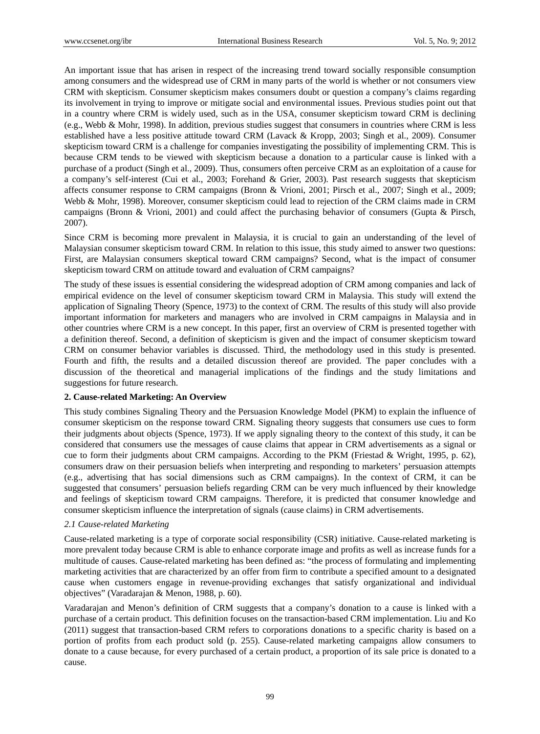An important issue that has arisen in respect of the increasing trend toward socially responsible consumption among consumers and the widespread use of CRM in many parts of the world is whether or not consumers view CRM with skepticism. Consumer skepticism makes consumers doubt or question a company's claims regarding its involvement in trying to improve or mitigate social and environmental issues. Previous studies point out that in a country where CRM is widely used, such as in the USA, consumer skepticism toward CRM is declining (e.g., Webb & Mohr, 1998). In addition, previous studies suggest that consumers in countries where CRM is less established have a less positive attitude toward CRM (Lavack & Kropp, 2003; Singh et al., 2009). Consumer skepticism toward CRM is a challenge for companies investigating the possibility of implementing CRM. This is because CRM tends to be viewed with skepticism because a donation to a particular cause is linked with a purchase of a product (Singh et al., 2009). Thus, consumers often perceive CRM as an exploitation of a cause for a company's self-interest (Cui et al., 2003; Forehand & Grier, 2003). Past research suggests that skepticism affects consumer response to CRM campaigns (Bronn & Vrioni, 2001; Pirsch et al., 2007; Singh et al., 2009; Webb & Mohr, 1998). Moreover, consumer skepticism could lead to rejection of the CRM claims made in CRM campaigns (Bronn & Vrioni, 2001) and could affect the purchasing behavior of consumers (Gupta & Pirsch, 2007).

Since CRM is becoming more prevalent in Malaysia, it is crucial to gain an understanding of the level of Malaysian consumer skepticism toward CRM. In relation to this issue, this study aimed to answer two questions: First, are Malaysian consumers skeptical toward CRM campaigns? Second, what is the impact of consumer skepticism toward CRM on attitude toward and evaluation of CRM campaigns?

The study of these issues is essential considering the widespread adoption of CRM among companies and lack of empirical evidence on the level of consumer skepticism toward CRM in Malaysia. This study will extend the application of Signaling Theory (Spence, 1973) to the context of CRM. The results of this study will also provide important information for marketers and managers who are involved in CRM campaigns in Malaysia and in other countries where CRM is a new concept. In this paper, first an overview of CRM is presented together with a definition thereof. Second, a definition of skepticism is given and the impact of consumer skepticism toward CRM on consumer behavior variables is discussed. Third, the methodology used in this study is presented. Fourth and fifth, the results and a detailed discussion thereof are provided. The paper concludes with a discussion of the theoretical and managerial implications of the findings and the study limitations and suggestions for future research.

## **2. Cause-related Marketing: An Overview**

This study combines Signaling Theory and the Persuasion Knowledge Model (PKM) to explain the influence of consumer skepticism on the response toward CRM. Signaling theory suggests that consumers use cues to form their judgments about objects (Spence, 1973). If we apply signaling theory to the context of this study, it can be considered that consumers use the messages of cause claims that appear in CRM advertisements as a signal or cue to form their judgments about CRM campaigns. According to the PKM (Friestad & Wright, 1995, p. 62), consumers draw on their persuasion beliefs when interpreting and responding to marketers' persuasion attempts (e.g., advertising that has social dimensions such as CRM campaigns). In the context of CRM, it can be suggested that consumers' persuasion beliefs regarding CRM can be very much influenced by their knowledge and feelings of skepticism toward CRM campaigns. Therefore, it is predicted that consumer knowledge and consumer skepticism influence the interpretation of signals (cause claims) in CRM advertisements.

## *2.1 Cause-related Marketing*

Cause-related marketing is a type of corporate social responsibility (CSR) initiative. Cause-related marketing is more prevalent today because CRM is able to enhance corporate image and profits as well as increase funds for a multitude of causes. Cause-related marketing has been defined as: "the process of formulating and implementing marketing activities that are characterized by an offer from firm to contribute a specified amount to a designated cause when customers engage in revenue-providing exchanges that satisfy organizational and individual objectives" (Varadarajan & Menon, 1988, p. 60).

Varadarajan and Menon's definition of CRM suggests that a company's donation to a cause is linked with a purchase of a certain product. This definition focuses on the transaction-based CRM implementation. Liu and Ko (2011) suggest that transaction-based CRM refers to corporations donations to a specific charity is based on a portion of profits from each product sold (p. 255). Cause-related marketing campaigns allow consumers to donate to a cause because, for every purchased of a certain product, a proportion of its sale price is donated to a cause.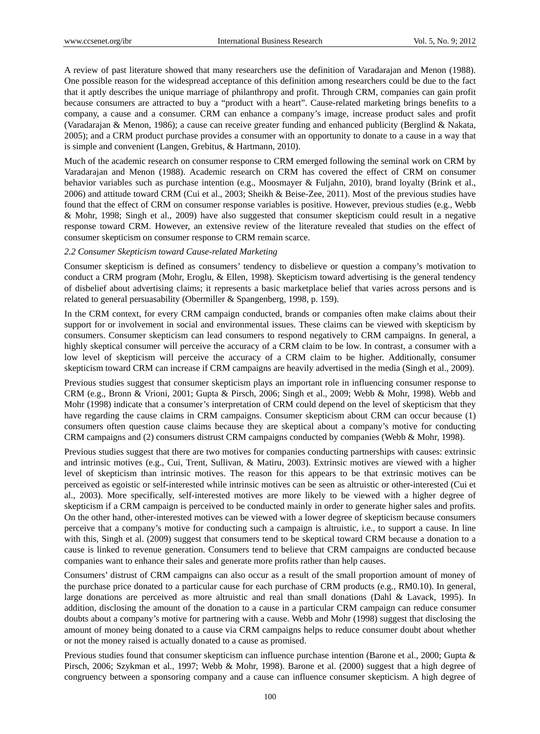A review of past literature showed that many researchers use the definition of Varadarajan and Menon (1988). One possible reason for the widespread acceptance of this definition among researchers could be due to the fact that it aptly describes the unique marriage of philanthropy and profit. Through CRM, companies can gain profit because consumers are attracted to buy a "product with a heart". Cause-related marketing brings benefits to a company, a cause and a consumer. CRM can enhance a company's image, increase product sales and profit (Varadarajan & Menon, 1986); a cause can receive greater funding and enhanced publicity (Berglind & Nakata, 2005); and a CRM product purchase provides a consumer with an opportunity to donate to a cause in a way that is simple and convenient (Langen, Grebitus, & Hartmann, 2010).

Much of the academic research on consumer response to CRM emerged following the seminal work on CRM by Varadarajan and Menon (1988). Academic research on CRM has covered the effect of CRM on consumer behavior variables such as purchase intention (e.g., Moosmayer & Fuljahn, 2010), brand loyalty (Brink et al., 2006) and attitude toward CRM (Cui et al., 2003; Sheikh & Beise-Zee, 2011). Most of the previous studies have found that the effect of CRM on consumer response variables is positive. However, previous studies (e.g., Webb & Mohr, 1998; Singh et al., 2009) have also suggested that consumer skepticism could result in a negative response toward CRM. However, an extensive review of the literature revealed that studies on the effect of consumer skepticism on consumer response to CRM remain scarce.

## *2.2 Consumer Skepticism toward Cause-related Marketing*

Consumer skepticism is defined as consumers' tendency to disbelieve or question a company's motivation to conduct a CRM program (Mohr, Eroglu, & Ellen, 1998). Skepticism toward advertising is the general tendency of disbelief about advertising claims; it represents a basic marketplace belief that varies across persons and is related to general persuasability (Obermiller & Spangenberg, 1998, p. 159).

In the CRM context, for every CRM campaign conducted, brands or companies often make claims about their support for or involvement in social and environmental issues. These claims can be viewed with skepticism by consumers. Consumer skepticism can lead consumers to respond negatively to CRM campaigns. In general, a highly skeptical consumer will perceive the accuracy of a CRM claim to be low. In contrast, a consumer with a low level of skepticism will perceive the accuracy of a CRM claim to be higher. Additionally, consumer skepticism toward CRM can increase if CRM campaigns are heavily advertised in the media (Singh et al., 2009).

Previous studies suggest that consumer skepticism plays an important role in influencing consumer response to CRM (e.g., Bronn & Vrioni, 2001; Gupta & Pirsch, 2006; Singh et al., 2009; Webb & Mohr, 1998). Webb and Mohr (1998) indicate that a consumer's interpretation of CRM could depend on the level of skepticism that they have regarding the cause claims in CRM campaigns. Consumer skepticism about CRM can occur because (1) consumers often question cause claims because they are skeptical about a company's motive for conducting CRM campaigns and (2) consumers distrust CRM campaigns conducted by companies (Webb & Mohr, 1998).

Previous studies suggest that there are two motives for companies conducting partnerships with causes: extrinsic and intrinsic motives (e.g., Cui, Trent, Sullivan, & Matiru, 2003). Extrinsic motives are viewed with a higher level of skepticism than intrinsic motives. The reason for this appears to be that extrinsic motives can be perceived as egoistic or self-interested while intrinsic motives can be seen as altruistic or other-interested (Cui et al., 2003). More specifically, self-interested motives are more likely to be viewed with a higher degree of skepticism if a CRM campaign is perceived to be conducted mainly in order to generate higher sales and profits. On the other hand, other-interested motives can be viewed with a lower degree of skepticism because consumers perceive that a company's motive for conducting such a campaign is altruistic, i.e., to support a cause. In line with this, Singh et al. (2009) suggest that consumers tend to be skeptical toward CRM because a donation to a cause is linked to revenue generation. Consumers tend to believe that CRM campaigns are conducted because companies want to enhance their sales and generate more profits rather than help causes.

Consumers' distrust of CRM campaigns can also occur as a result of the small proportion amount of money of the purchase price donated to a particular cause for each purchase of CRM products (e.g., RM0.10). In general, large donations are perceived as more altruistic and real than small donations (Dahl & Lavack, 1995). In addition, disclosing the amount of the donation to a cause in a particular CRM campaign can reduce consumer doubts about a company's motive for partnering with a cause. Webb and Mohr (1998) suggest that disclosing the amount of money being donated to a cause via CRM campaigns helps to reduce consumer doubt about whether or not the money raised is actually donated to a cause as promised.

Previous studies found that consumer skepticism can influence purchase intention (Barone et al., 2000; Gupta & Pirsch, 2006; Szykman et al., 1997; Webb & Mohr, 1998). Barone et al. (2000) suggest that a high degree of congruency between a sponsoring company and a cause can influence consumer skepticism. A high degree of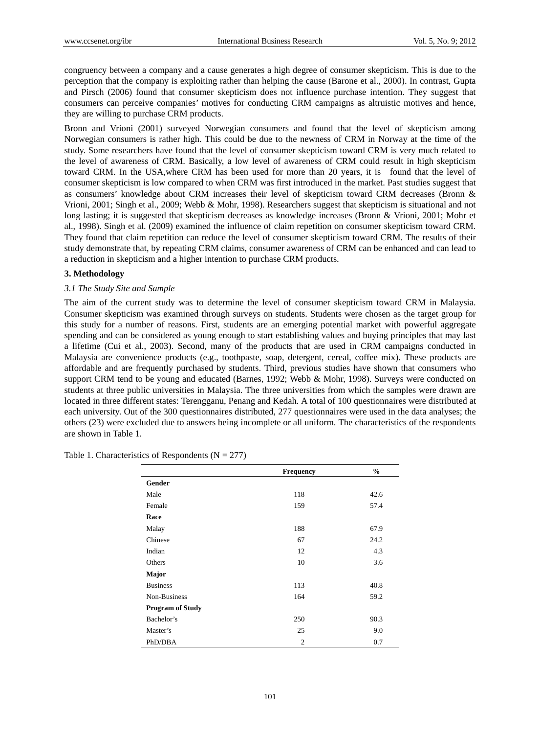congruency between a company and a cause generates a high degree of consumer skepticism. This is due to the perception that the company is exploiting rather than helping the cause (Barone et al., 2000). In contrast, Gupta and Pirsch (2006) found that consumer skepticism does not influence purchase intention. They suggest that consumers can perceive companies' motives for conducting CRM campaigns as altruistic motives and hence, they are willing to purchase CRM products.

Bronn and Vrioni (2001) surveyed Norwegian consumers and found that the level of skepticism among Norwegian consumers is rather high. This could be due to the newness of CRM in Norway at the time of the study. Some researchers have found that the level of consumer skepticism toward CRM is very much related to the level of awareness of CRM. Basically, a low level of awareness of CRM could result in high skepticism toward CRM. In the USA,where CRM has been used for more than 20 years, it is found that the level of consumer skepticism is low compared to when CRM was first introduced in the market. Past studies suggest that as consumers' knowledge about CRM increases their level of skepticism toward CRM decreases (Bronn & Vrioni, 2001; Singh et al., 2009; Webb & Mohr, 1998). Researchers suggest that skepticism is situational and not long lasting; it is suggested that skepticism decreases as knowledge increases (Bronn & Vrioni, 2001; Mohr et al., 1998). Singh et al. (2009) examined the influence of claim repetition on consumer skepticism toward CRM. They found that claim repetition can reduce the level of consumer skepticism toward CRM. The results of their study demonstrate that, by repeating CRM claims, consumer awareness of CRM can be enhanced and can lead to a reduction in skepticism and a higher intention to purchase CRM products.

#### **3. Methodology**

#### *3.1 The Study Site and Sample*

The aim of the current study was to determine the level of consumer skepticism toward CRM in Malaysia. Consumer skepticism was examined through surveys on students. Students were chosen as the target group for this study for a number of reasons. First, students are an emerging potential market with powerful aggregate spending and can be considered as young enough to start establishing values and buying principles that may last a lifetime (Cui et al., 2003). Second, many of the products that are used in CRM campaigns conducted in Malaysia are convenience products (e.g., toothpaste, soap, detergent, cereal, coffee mix). These products are affordable and are frequently purchased by students. Third, previous studies have shown that consumers who support CRM tend to be young and educated (Barnes, 1992; Webb & Mohr, 1998). Surveys were conducted on students at three public universities in Malaysia. The three universities from which the samples were drawn are located in three different states: Terengganu, Penang and Kedah. A total of 100 questionnaires were distributed at each university. Out of the 300 questionnaires distributed, 277 questionnaires were used in the data analyses; the others (23) were excluded due to answers being incomplete or all uniform. The characteristics of the respondents are shown in Table 1.

|                         | Frequency      | $\frac{6}{6}$ |
|-------------------------|----------------|---------------|
| <b>Gender</b>           |                |               |
| Male                    | 118            | 42.6          |
| Female                  | 159            | 57.4          |
| Race                    |                |               |
| Malay                   | 188            | 67.9          |
| Chinese                 | 67             | 24.2          |
| Indian                  | 12             | 4.3           |
| Others                  | 10             | 3.6           |
| Major                   |                |               |
| <b>Business</b>         | 113            | 40.8          |
| Non-Business            | 164            | 59.2          |
| <b>Program of Study</b> |                |               |
| Bachelor's              | 250            | 90.3          |
| Master's                | 25             | 9.0           |
| PhD/DBA                 | $\overline{2}$ | 0.7           |

Table 1. Characteristics of Respondents ( $N = 277$ )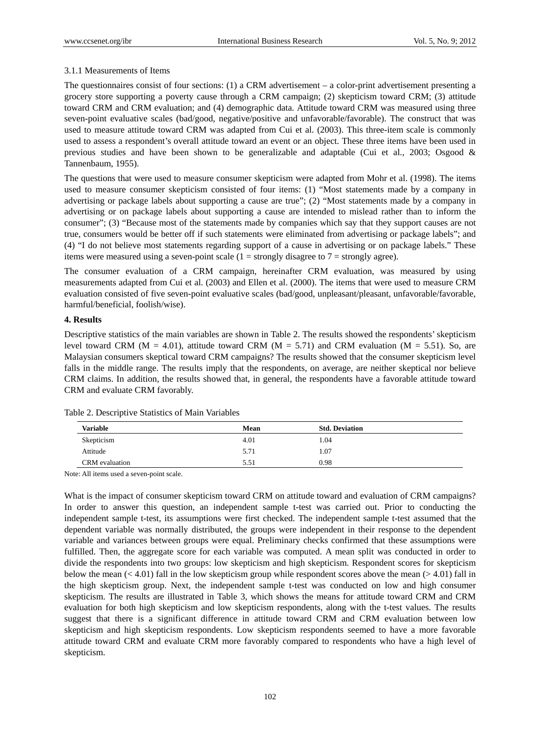# 3.1.1 Measurements of Items

The questionnaires consist of four sections: (1) a CRM advertisement – a color-print advertisement presenting a grocery store supporting a poverty cause through a CRM campaign; (2) skepticism toward CRM; (3) attitude toward CRM and CRM evaluation; and (4) demographic data. Attitude toward CRM was measured using three seven-point evaluative scales (bad/good, negative/positive and unfavorable/favorable). The construct that was used to measure attitude toward CRM was adapted from Cui et al. (2003). This three-item scale is commonly used to assess a respondent's overall attitude toward an event or an object. These three items have been used in previous studies and have been shown to be generalizable and adaptable (Cui et al., 2003; Osgood & Tannenbaum, 1955).

The questions that were used to measure consumer skepticism were adapted from Mohr et al. (1998). The items used to measure consumer skepticism consisted of four items: (1) "Most statements made by a company in advertising or package labels about supporting a cause are true"; (2) "Most statements made by a company in advertising or on package labels about supporting a cause are intended to mislead rather than to inform the consumer"; (3) "Because most of the statements made by companies which say that they support causes are not true, consumers would be better off if such statements were eliminated from advertising or package labels"; and (4) "I do not believe most statements regarding support of a cause in advertising or on package labels." These items were measured using a seven-point scale  $(1 =$  strongly disagree to  $7 =$  strongly agree).

The consumer evaluation of a CRM campaign, hereinafter CRM evaluation, was measured by using measurements adapted from Cui et al. (2003) and Ellen et al. (2000). The items that were used to measure CRM evaluation consisted of five seven-point evaluative scales (bad/good, unpleasant/pleasant, unfavorable/favorable, harmful/beneficial, foolish/wise).

# **4. Results**

Descriptive statistics of the main variables are shown in Table 2. The results showed the respondents' skepticism level toward CRM ( $M = 4.01$ ), attitude toward CRM ( $M = 5.71$ ) and CRM evaluation ( $M = 5.51$ ). So, are Malaysian consumers skeptical toward CRM campaigns? The results showed that the consumer skepticism level falls in the middle range. The results imply that the respondents, on average, are neither skeptical nor believe CRM claims. In addition, the results showed that, in general, the respondents have a favorable attitude toward CRM and evaluate CRM favorably.

| Variable       | Mean | <b>Std. Deviation</b> |
|----------------|------|-----------------------|
| Skepticism     | 4.01 | 1.04                  |
| Attitude       | 5.71 | 1.07                  |
| CRM evaluation | 5.51 | 0.98                  |

Table 2. Descriptive Statistics of Main Variables

Note: All items used a seven-point scale.

What is the impact of consumer skepticism toward CRM on attitude toward and evaluation of CRM campaigns? In order to answer this question, an independent sample t-test was carried out. Prior to conducting the independent sample t-test, its assumptions were first checked. The independent sample t-test assumed that the dependent variable was normally distributed, the groups were independent in their response to the dependent variable and variances between groups were equal. Preliminary checks confirmed that these assumptions were fulfilled. Then, the aggregate score for each variable was computed. A mean split was conducted in order to divide the respondents into two groups: low skepticism and high skepticism. Respondent scores for skepticism below the mean  $(< 4.01$ ) fall in the low skepticism group while respondent scores above the mean  $(> 4.01)$  fall in the high skepticism group. Next, the independent sample t-test was conducted on low and high consumer skepticism. The results are illustrated in Table 3, which shows the means for attitude toward CRM and CRM evaluation for both high skepticism and low skepticism respondents, along with the t-test values. The results suggest that there is a significant difference in attitude toward CRM and CRM evaluation between low skepticism and high skepticism respondents. Low skepticism respondents seemed to have a more favorable attitude toward CRM and evaluate CRM more favorably compared to respondents who have a high level of skepticism.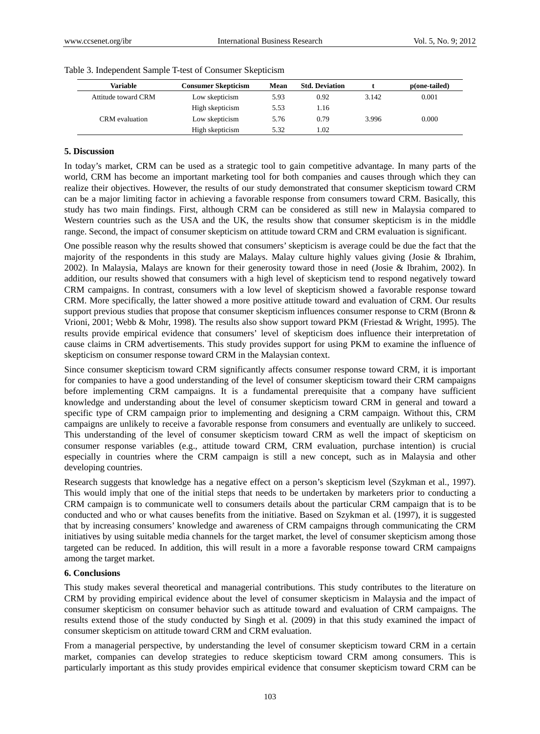| <b>Variable</b>     | Consumer Skepticism | Mean | <b>Std. Deviation</b> |       | $p(one-tailed)$ |
|---------------------|---------------------|------|-----------------------|-------|-----------------|
| Attitude toward CRM | Low skepticism      | 5.93 | 0.92                  | 3.142 | 0.001           |
|                     | High skepticism     | 5.53 | 1.16                  |       |                 |
| CRM evaluation      | Low skepticism      | 5.76 | 0.79                  | 3.996 | 0.000           |
|                     | High skepticism     | 5.32 | 1.02                  |       |                 |

Table 3. Independent Sample T-test of Consumer Skepticism

#### **5. Discussion**

In today's market, CRM can be used as a strategic tool to gain competitive advantage. In many parts of the world, CRM has become an important marketing tool for both companies and causes through which they can realize their objectives. However, the results of our study demonstrated that consumer skepticism toward CRM can be a major limiting factor in achieving a favorable response from consumers toward CRM. Basically, this study has two main findings. First, although CRM can be considered as still new in Malaysia compared to Western countries such as the USA and the UK, the results show that consumer skepticism is in the middle range. Second, the impact of consumer skepticism on attitude toward CRM and CRM evaluation is significant.

One possible reason why the results showed that consumers' skepticism is average could be due the fact that the majority of the respondents in this study are Malays. Malay culture highly values giving (Josie & Ibrahim, 2002). In Malaysia, Malays are known for their generosity toward those in need (Josie & Ibrahim, 2002). In addition, our results showed that consumers with a high level of skepticism tend to respond negatively toward CRM campaigns. In contrast, consumers with a low level of skepticism showed a favorable response toward CRM. More specifically, the latter showed a more positive attitude toward and evaluation of CRM. Our results support previous studies that propose that consumer skepticism influences consumer response to CRM (Bronn & Vrioni, 2001; Webb & Mohr, 1998). The results also show support toward PKM (Friestad & Wright, 1995). The results provide empirical evidence that consumers' level of skepticism does influence their interpretation of cause claims in CRM advertisements. This study provides support for using PKM to examine the influence of skepticism on consumer response toward CRM in the Malaysian context.

Since consumer skepticism toward CRM significantly affects consumer response toward CRM, it is important for companies to have a good understanding of the level of consumer skepticism toward their CRM campaigns before implementing CRM campaigns. It is a fundamental prerequisite that a company have sufficient knowledge and understanding about the level of consumer skepticism toward CRM in general and toward a specific type of CRM campaign prior to implementing and designing a CRM campaign. Without this, CRM campaigns are unlikely to receive a favorable response from consumers and eventually are unlikely to succeed. This understanding of the level of consumer skepticism toward CRM as well the impact of skepticism on consumer response variables (e.g., attitude toward CRM, CRM evaluation, purchase intention) is crucial especially in countries where the CRM campaign is still a new concept, such as in Malaysia and other developing countries.

Research suggests that knowledge has a negative effect on a person's skepticism level (Szykman et al., 1997). This would imply that one of the initial steps that needs to be undertaken by marketers prior to conducting a CRM campaign is to communicate well to consumers details about the particular CRM campaign that is to be conducted and who or what causes benefits from the initiative. Based on Szykman et al. (1997), it is suggested that by increasing consumers' knowledge and awareness of CRM campaigns through communicating the CRM initiatives by using suitable media channels for the target market, the level of consumer skepticism among those targeted can be reduced. In addition, this will result in a more a favorable response toward CRM campaigns among the target market.

## **6. Conclusions**

This study makes several theoretical and managerial contributions. This study contributes to the literature on CRM by providing empirical evidence about the level of consumer skepticism in Malaysia and the impact of consumer skepticism on consumer behavior such as attitude toward and evaluation of CRM campaigns. The results extend those of the study conducted by Singh et al. (2009) in that this study examined the impact of consumer skepticism on attitude toward CRM and CRM evaluation.

From a managerial perspective, by understanding the level of consumer skepticism toward CRM in a certain market, companies can develop strategies to reduce skepticism toward CRM among consumers. This is particularly important as this study provides empirical evidence that consumer skepticism toward CRM can be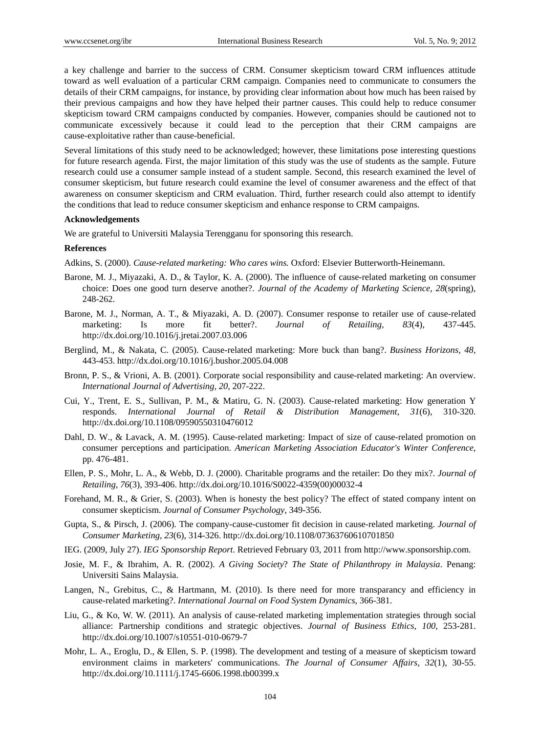a key challenge and barrier to the success of CRM. Consumer skepticism toward CRM influences attitude toward as well evaluation of a particular CRM campaign. Companies need to communicate to consumers the details of their CRM campaigns, for instance, by providing clear information about how much has been raised by their previous campaigns and how they have helped their partner causes. This could help to reduce consumer skepticism toward CRM campaigns conducted by companies. However, companies should be cautioned not to communicate excessively because it could lead to the perception that their CRM campaigns are cause-exploitative rather than cause-beneficial.

Several limitations of this study need to be acknowledged; however, these limitations pose interesting questions for future research agenda. First, the major limitation of this study was the use of students as the sample. Future research could use a consumer sample instead of a student sample. Second, this research examined the level of consumer skepticism, but future research could examine the level of consumer awareness and the effect of that awareness on consumer skepticism and CRM evaluation. Third, further research could also attempt to identify the conditions that lead to reduce consumer skepticism and enhance response to CRM campaigns.

#### **Acknowledgements**

We are grateful to Universiti Malaysia Terengganu for sponsoring this research.

#### **References**

Adkins, S. (2000). *Cause-related marketing: Who cares wins.* Oxford: Elsevier Butterworth-Heinemann.

- Barone, M. J., Miyazaki, A. D., & Taylor, K. A. (2000). The influence of cause-related marketing on consumer choice: Does one good turn deserve another?. *Journal of the Academy of Marketing Science, 28*(spring), 248-262.
- Barone, M. J., Norman, A. T., & Miyazaki, A. D. (2007). Consumer response to retailer use of cause-related marketing: Is more fit better?. *Journal of Retailing, 83*(4), 437-445. http://dx.doi.org/10.1016/j.jretai.2007.03.006
- Berglind, M., & Nakata, C. (2005). Cause-related marketing: More buck than bang?. *Business Horizons, 48*, 443-453. http://dx.doi.org/10.1016/j.bushor.2005.04.008
- Bronn, P. S., & Vrioni, A. B. (2001). Corporate social responsibility and cause-related marketing: An overview. *International Journal of Advertising, 20*, 207-222.
- Cui, Y., Trent, E. S., Sullivan, P. M., & Matiru, G. N. (2003). Cause-related marketing: How generation Y responds. *International Journal of Retail & Distribution Management*, *31*(6), 310-320. http://dx.doi.org/10.1108/09590550310476012
- Dahl, D. W., & Lavack, A. M. (1995). Cause-related marketing: Impact of size of cause-related promotion on consumer perceptions and participation. *American Marketing Association Educator's Winter Conference*, pp. 476-481.
- Ellen, P. S., Mohr, L. A., & Webb, D. J. (2000). Charitable programs and the retailer: Do they mix?. *Journal of Retailing*, *76*(3), 393-406. http://dx.doi.org/10.1016/S0022-4359(00)00032-4
- Forehand, M. R., & Grier, S. (2003). When is honesty the best policy? The effect of stated company intent on consumer skepticism. *Journal of Consumer Psychology*, 349-356.
- Gupta, S., & Pirsch, J. (2006). The company-cause-customer fit decision in cause-related marketing. *Journal of Consumer Marketing*, *23*(6), 314-326. http://dx.doi.org/10.1108/07363760610701850
- IEG. (2009, July 27). *IEG Sponsorship Report*. Retrieved February 03, 2011 from http://www.sponsorship.com.
- Josie, M. F., & Ibrahim, A. R. (2002). *A Giving Society*? *The State of Philanthropy in Malaysia*. Penang: Universiti Sains Malaysia.
- Langen, N., Grebitus, C., & Hartmann, M. (2010). Is there need for more transparancy and efficiency in cause-related marketing?. *International Journal on Food System Dynamics*, 366-381.
- Liu, G., & Ko, W. W. (2011). An analysis of cause-related marketing implementation strategies through social alliance: Partnership conditions and strategic objectives. *Journal of Business Ethics, 100,* 253-281. http://dx.doi.org/10.1007/s10551-010-0679-7
- Mohr, L. A., Eroglu, D., & Ellen, S. P. (1998). The development and testing of a measure of skepticism toward environment claims in marketers' communications. *The Journal of Consumer Affairs*, *32*(1), 30-55. http://dx.doi.org/10.1111/j.1745-6606.1998.tb00399.x